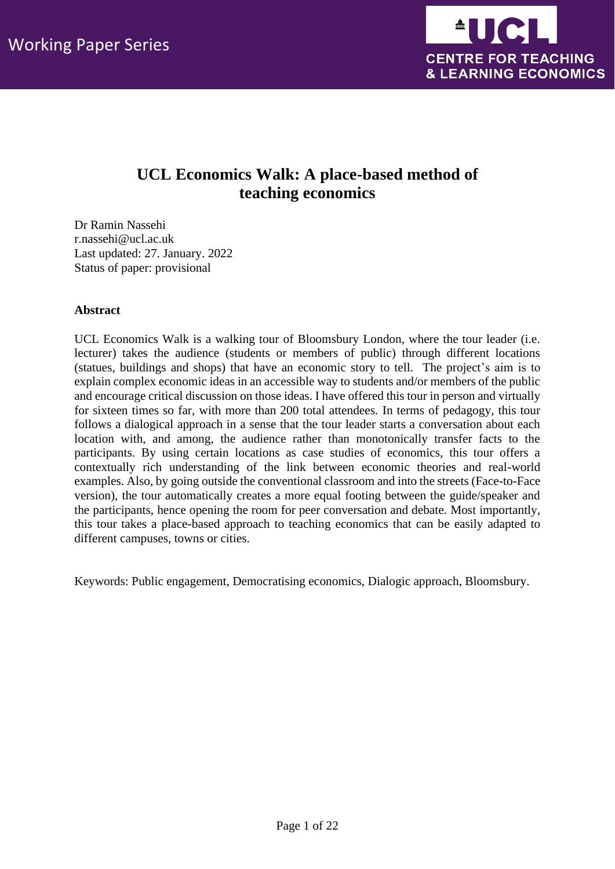

# **UCL Economics Walk: A place-based method of teaching economics**

Dr Ramin Nassehi r.nassehi@ucl.ac.uk Last updated: 27. January. 2022 Status of paper: provisional

## **Abstract**

UCL Economics Walk is a walking tour of Bloomsbury London, where the tour leader (i.e. lecturer) takes the audience (students or members of public) through different locations (statues, buildings and shops) that have an economic story to tell. The project's aim is to explain complex economic ideas in an accessible way to students and/or members of the public and encourage critical discussion on those ideas. I have offered this tour in person and virtually for sixteen times so far, with more than 200 total attendees. In terms of pedagogy, this tour follows a dialogical approach in a sense that the tour leader starts a conversation about each location with, and among, the audience rather than monotonically transfer facts to the participants. By using certain locations as case studies of economics, this tour offers a contextually rich understanding of the link between economic theories and real-world examples. Also, by going outside the conventional classroom and into the streets (Face-to-Face version), the tour automatically creates a more equal footing between the guide/speaker and the participants, hence opening the room for peer conversation and debate. Most importantly, this tour takes a place-based approach to teaching economics that can be easily adapted to different campuses, towns or cities.

Keywords: Public engagement, Democratising economics, Dialogic approach, Bloomsbury.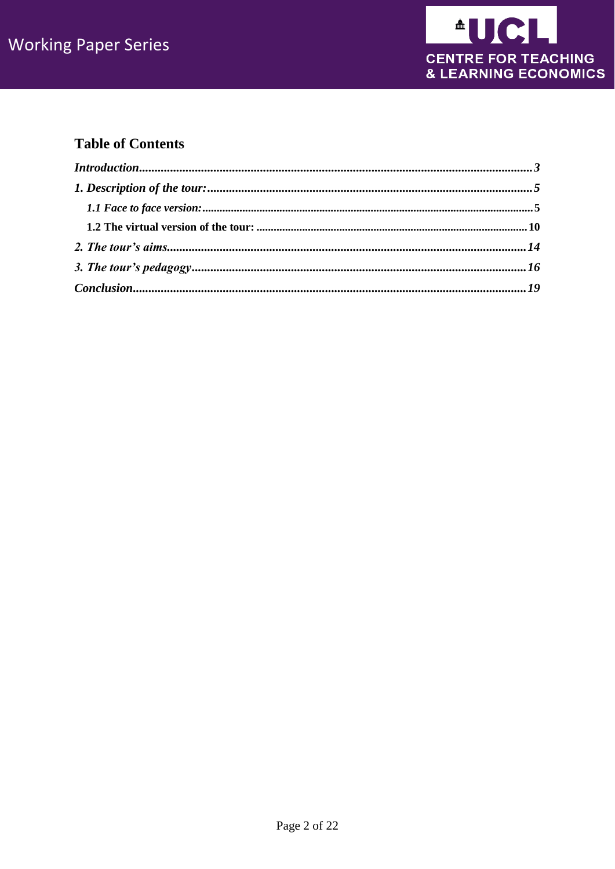

# **Table of Contents**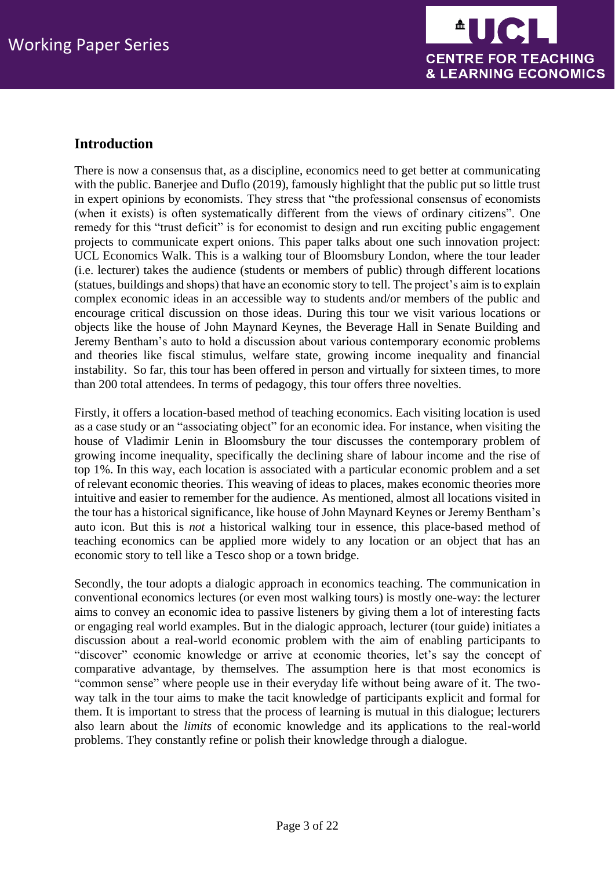

# <span id="page-2-0"></span>**Introduction**

There is now a consensus that, as a discipline, economics need to get better at communicating with the public. Banerjee and Duflo (2019), famously highlight that the public put so little trust in expert opinions by economists. They stress that "the professional consensus of economists (when it exists) is often systematically different from the views of ordinary citizens". One remedy for this "trust deficit" is for economist to design and run exciting public engagement projects to communicate expert onions. This paper talks about one such innovation project: UCL Economics Walk. This is a walking tour of Bloomsbury London, where the tour leader (i.e. lecturer) takes the audience (students or members of public) through different locations (statues, buildings and shops) that have an economic story to tell. The project's aim is to explain complex economic ideas in an accessible way to students and/or members of the public and encourage critical discussion on those ideas. During this tour we visit various locations or objects like the house of John Maynard Keynes, the Beverage Hall in Senate Building and Jeremy Bentham's auto to hold a discussion about various contemporary economic problems and theories like fiscal stimulus, welfare state, growing income inequality and financial instability. So far, this tour has been offered in person and virtually for sixteen times, to more than 200 total attendees. In terms of pedagogy, this tour offers three novelties.

Firstly, it offers a location-based method of teaching economics. Each visiting location is used as a case study or an "associating object" for an economic idea. For instance, when visiting the house of Vladimir Lenin in Bloomsbury the tour discusses the contemporary problem of growing income inequality, specifically the declining share of labour income and the rise of top 1%. In this way, each location is associated with a particular economic problem and a set of relevant economic theories. This weaving of ideas to places, makes economic theories more intuitive and easier to remember for the audience. As mentioned, almost all locations visited in the tour has a historical significance, like house of John Maynard Keynes or Jeremy Bentham's auto icon. But this is *not* a historical walking tour in essence, this place-based method of teaching economics can be applied more widely to any location or an object that has an economic story to tell like a Tesco shop or a town bridge.

Secondly, the tour adopts a dialogic approach in economics teaching. The communication in conventional economics lectures (or even most walking tours) is mostly one-way: the lecturer aims to convey an economic idea to passive listeners by giving them a lot of interesting facts or engaging real world examples. But in the dialogic approach, lecturer (tour guide) initiates a discussion about a real-world economic problem with the aim of enabling participants to "discover" economic knowledge or arrive at economic theories, let's say the concept of comparative advantage, by themselves. The assumption here is that most economics is "common sense" where people use in their everyday life without being aware of it. The twoway talk in the tour aims to make the tacit knowledge of participants explicit and formal for them. It is important to stress that the process of learning is mutual in this dialogue; lecturers also learn about the *limits* of economic knowledge and its applications to the real-world problems. They constantly refine or polish their knowledge through a dialogue.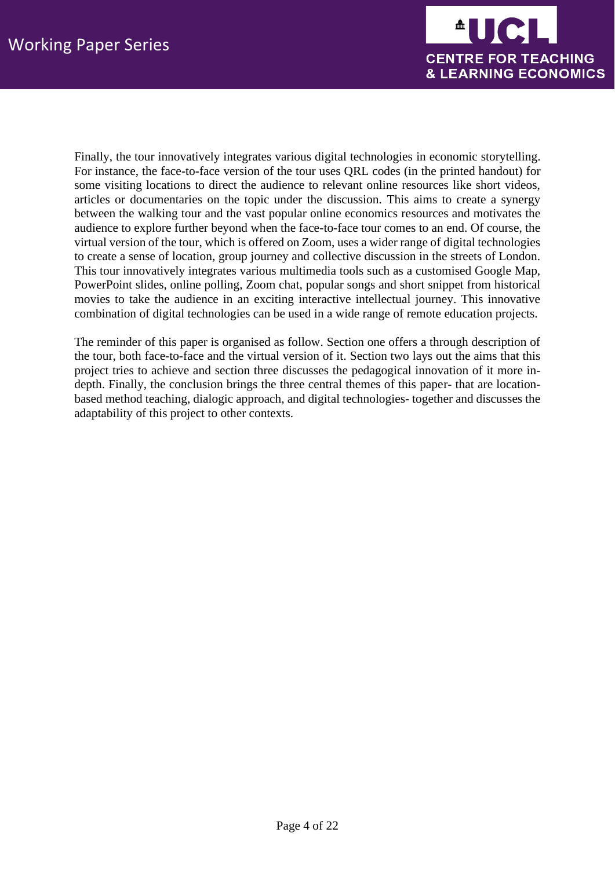

Finally, the tour innovatively integrates various digital technologies in economic storytelling. For instance, the face-to-face version of the tour uses QRL codes (in the printed handout) for some visiting locations to direct the audience to relevant online resources like short videos, articles or documentaries on the topic under the discussion. This aims to create a synergy between the walking tour and the vast popular online economics resources and motivates the audience to explore further beyond when the face-to-face tour comes to an end. Of course, the virtual version of the tour, which is offered on Zoom, uses a wider range of digital technologies to create a sense of location, group journey and collective discussion in the streets of London. This tour innovatively integrates various multimedia tools such as a customised Google Map, PowerPoint slides, online polling, Zoom chat, popular songs and short snippet from historical movies to take the audience in an exciting interactive intellectual journey. This innovative combination of digital technologies can be used in a wide range of remote education projects.

The reminder of this paper is organised as follow. Section one offers a through description of the tour, both face-to-face and the virtual version of it. Section two lays out the aims that this project tries to achieve and section three discusses the pedagogical innovation of it more indepth. Finally, the conclusion brings the three central themes of this paper- that are locationbased method teaching, dialogic approach, and digital technologies- together and discusses the adaptability of this project to other contexts.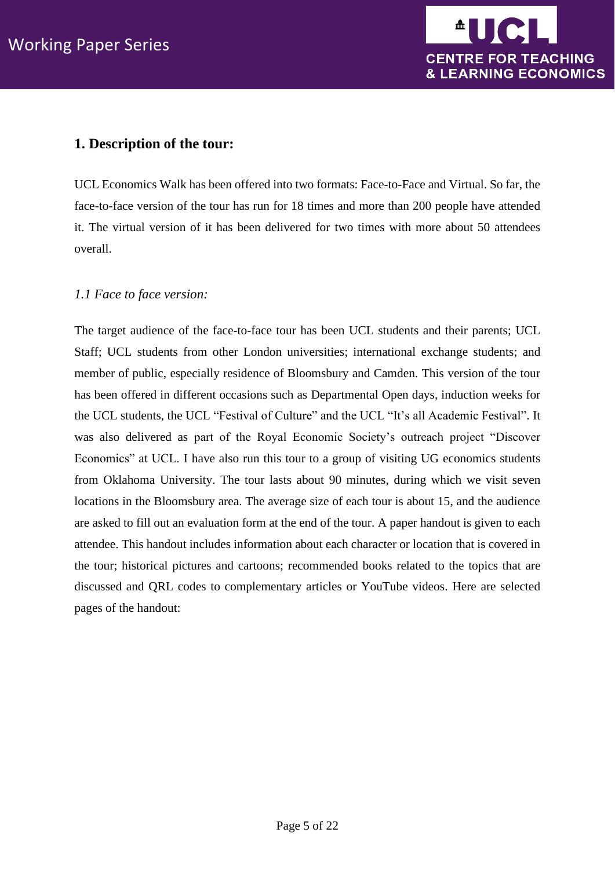

## <span id="page-4-0"></span>**1. Description of the tour:**

UCL Economics Walk has been offered into two formats: Face-to-Face and Virtual. So far, the face-to-face version of the tour has run for 18 times and more than 200 people have attended it. The virtual version of it has been delivered for two times with more about 50 attendees overall.

## <span id="page-4-1"></span>*1.1 Face to face version:*

The target audience of the face-to-face tour has been UCL students and their parents; UCL Staff; UCL students from other London universities; international exchange students; and member of public, especially residence of Bloomsbury and Camden. This version of the tour has been offered in different occasions such as Departmental Open days, induction weeks for the UCL students, the UCL "Festival of Culture" and the UCL "It's all Academic Festival". It was also delivered as part of the Royal Economic Society's outreach project "Discover Economics" at UCL. I have also run this tour to a group of visiting UG economics students from Oklahoma University. The tour lasts about 90 minutes, during which we visit seven locations in the Bloomsbury area. The average size of each tour is about 15, and the audience are asked to fill out an evaluation form at the end of the tour. A paper handout is given to each attendee. This handout includes information about each character or location that is covered in the tour; historical pictures and cartoons; recommended books related to the topics that are discussed and QRL codes to complementary articles or YouTube videos. Here are selected pages of the handout: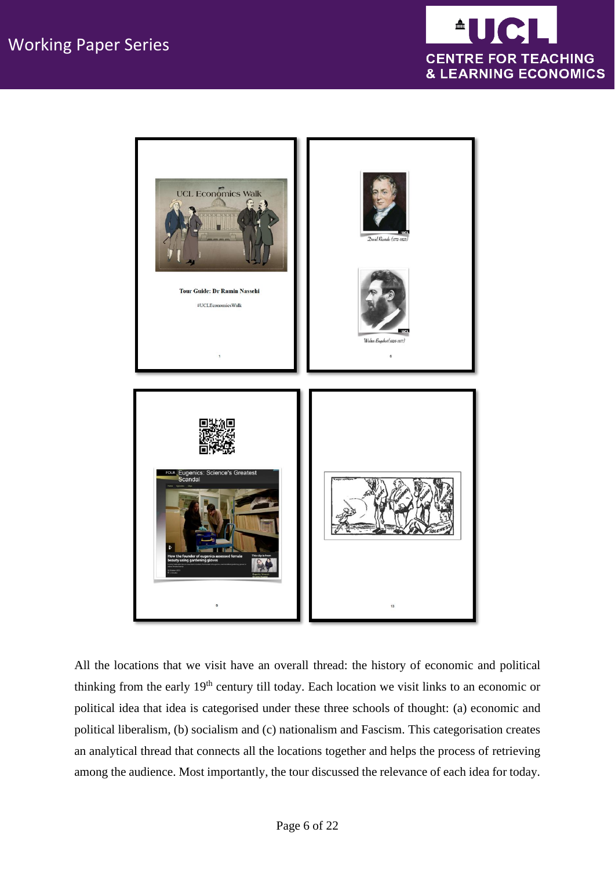



All the locations that we visit have an overall thread: the history of economic and political thinking from the early 19th century till today. Each location we visit links to an economic or political idea that idea is categorised under these three schools of thought: (a) economic and political liberalism, (b) socialism and (c) nationalism and Fascism. This categorisation creates an analytical thread that connects all the locations together and helps the process of retrieving among the audience. Most importantly, the tour discussed the relevance of each idea for today.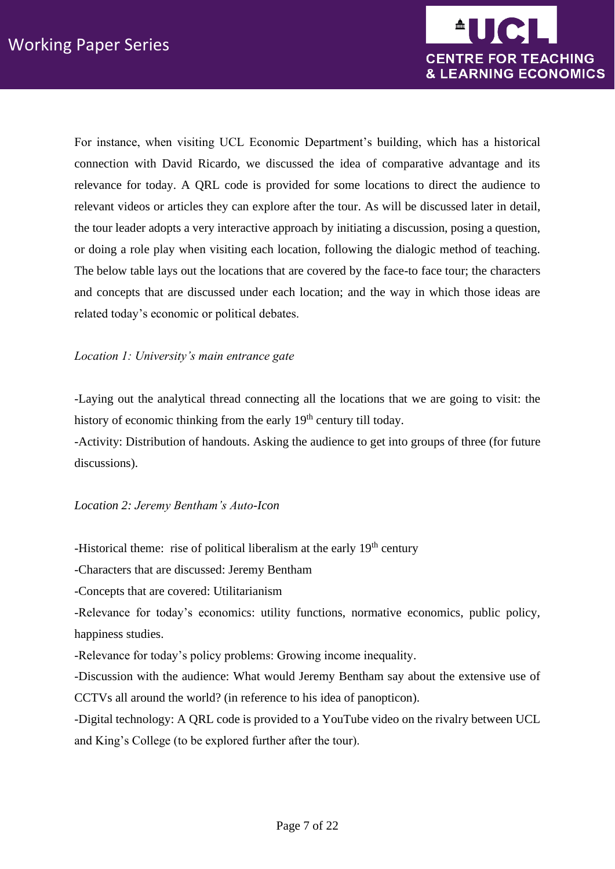

For instance, when visiting UCL Economic Department's building, which has a historical connection with David Ricardo, we discussed the idea of comparative advantage and its relevance for today. A QRL code is provided for some locations to direct the audience to relevant videos or articles they can explore after the tour. As will be discussed later in detail, the tour leader adopts a very interactive approach by initiating a discussion, posing a question, or doing a role play when visiting each location, following the dialogic method of teaching. The below table lays out the locations that are covered by the face-to face tour; the characters and concepts that are discussed under each location; and the way in which those ideas are related today's economic or political debates.

## *Location 1: University's main entrance gate*

-Laying out the analytical thread connecting all the locations that we are going to visit: the history of economic thinking from the early  $19<sup>th</sup>$  century till today.

-Activity: Distribution of handouts. Asking the audience to get into groups of three (for future discussions).

### *Location 2: Jeremy Bentham's Auto-Icon*

-Historical theme: rise of political liberalism at the early 19<sup>th</sup> century

-Characters that are discussed: Jeremy Bentham

-Concepts that are covered: Utilitarianism

-Relevance for today's economics: utility functions, normative economics, public policy, happiness studies.

-Relevance for today's policy problems: Growing income inequality.

-Discussion with the audience: What would Jeremy Bentham say about the extensive use of CCTVs all around the world? (in reference to his idea of panopticon).

-Digital technology: A QRL code is provided to a YouTube video on the rivalry between UCL and King's College (to be explored further after the tour).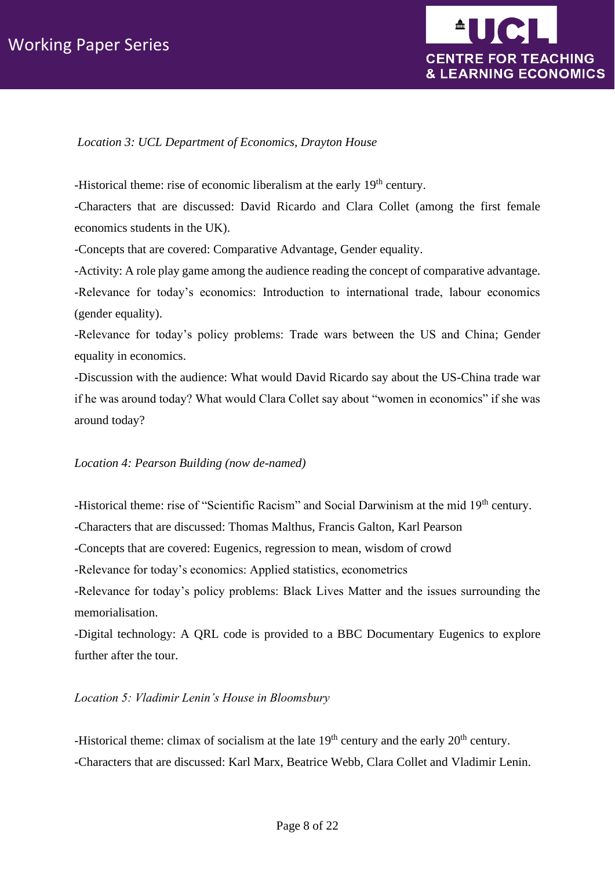# Working Paper Series



#### *Location 3: UCL Department of Economics, Drayton House*

-Historical theme: rise of economic liberalism at the early 19<sup>th</sup> century.

-Characters that are discussed: David Ricardo and Clara Collet (among the first female economics students in the UK).

-Concepts that are covered: Comparative Advantage, Gender equality.

-Activity: A role play game among the audience reading the concept of comparative advantage. -Relevance for today's economics: Introduction to international trade, labour economics (gender equality).

-Relevance for today's policy problems: Trade wars between the US and China; Gender equality in economics.

-Discussion with the audience: What would David Ricardo say about the US-China trade war if he was around today? What would Clara Collet say about "women in economics" if she was around today?

#### *Location 4: Pearson Building (now de-named)*

-Historical theme: rise of "Scientific Racism" and Social Darwinism at the mid 19<sup>th</sup> century.

-Characters that are discussed: Thomas Malthus, Francis Galton, Karl Pearson

-Concepts that are covered: Eugenics, regression to mean, wisdom of crowd

-Relevance for today's economics: Applied statistics, econometrics

-Relevance for today's policy problems: Black Lives Matter and the issues surrounding the memorialisation.

-Digital technology: A QRL code is provided to a BBC Documentary Eugenics to explore further after the tour.

#### *Location 5: Vladimir Lenin's House in Bloomsbury*

-Historical theme: climax of socialism at the late  $19<sup>th</sup>$  century and the early  $20<sup>th</sup>$  century. -Characters that are discussed: Karl Marx, Beatrice Webb, Clara Collet and Vladimir Lenin.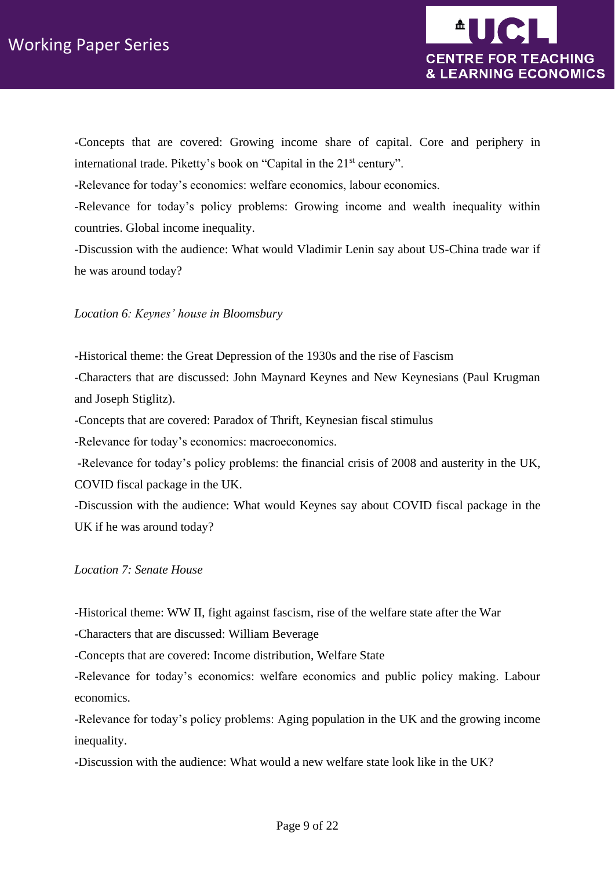

-Concepts that are covered: Growing income share of capital. Core and periphery in international trade. Piketty's book on "Capital in the 21<sup>st</sup> century".

-Relevance for today's economics: welfare economics, labour economics.

-Relevance for today's policy problems: Growing income and wealth inequality within countries. Global income inequality.

-Discussion with the audience: What would Vladimir Lenin say about US-China trade war if he was around today?

#### *Location 6: Keynes' house in Bloomsbury*

-Historical theme: the Great Depression of the 1930s and the rise of Fascism -Characters that are discussed: John Maynard Keynes and New Keynesians (Paul Krugman and Joseph Stiglitz).

-Concepts that are covered: Paradox of Thrift, Keynesian fiscal stimulus

-Relevance for today's economics: macroeconomics.

-Relevance for today's policy problems: the financial crisis of 2008 and austerity in the UK, COVID fiscal package in the UK.

-Discussion with the audience: What would Keynes say about COVID fiscal package in the UK if he was around today?

## *Location 7: Senate House*

-Historical theme: WW II, fight against fascism, rise of the welfare state after the War

-Characters that are discussed: William Beverage

-Concepts that are covered: Income distribution, Welfare State

-Relevance for today's economics: welfare economics and public policy making. Labour economics.

-Relevance for today's policy problems: Aging population in the UK and the growing income inequality.

-Discussion with the audience: What would a new welfare state look like in the UK?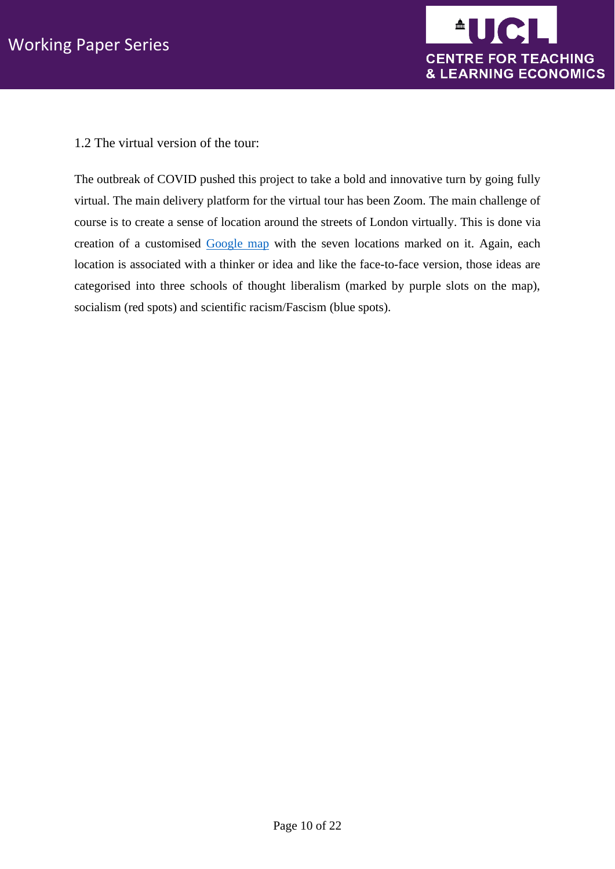

<span id="page-9-0"></span>1.2 The virtual version of the tour:

The outbreak of COVID pushed this project to take a bold and innovative turn by going fully virtual. The main delivery platform for the virtual tour has been Zoom. The main challenge of course is to create a sense of location around the streets of London virtually. This is done via creation of a customised [Google map](https://www.google.com/maps/d/u/0/edit?mid=1UkoIvlUxmJNZHPP4m12WqQZPIjcX5nC0&ll=51.51904273235385%2C-0.12544679999999753&z=15) with the seven locations marked on it. Again, each location is associated with a thinker or idea and like the face-to-face version, those ideas are categorised into three schools of thought liberalism (marked by purple slots on the map), socialism (red spots) and scientific racism/Fascism (blue spots).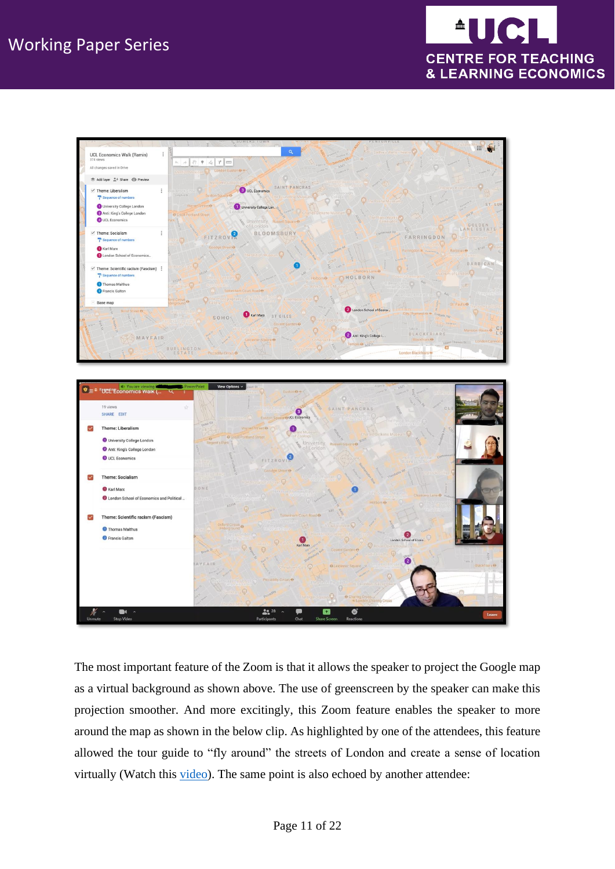



The most important feature of the Zoom is that it allows the speaker to project the Google map as a virtual background as shown above. The use of greenscreen by the speaker can make this projection smoother. And more excitingly, this Zoom feature enables the speaker to more around the map as shown in the below clip. As highlighted by one of the attendees, this feature allowed the tour guide to "fly around" the streets of London and create a sense of location virtually (Watch this [video\)](https://liveuclac-my.sharepoint.com/:v:/g/personal/uctpnas_ucl_ac_uk/EeHMRaFDCQ9JgDhx3HtYXj0BQBixwUHCFlsvMLUgCv-ptw?e=ydLK67). The same point is also echoed by another attendee: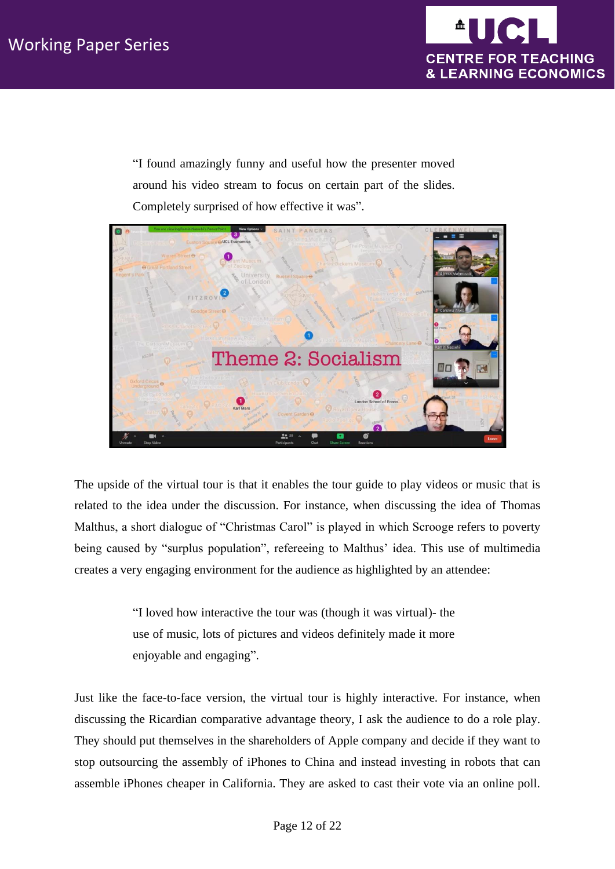

"I found amazingly funny and useful how the presenter moved around his video stream to focus on certain part of the slides. Completely surprised of how effective it was".



The upside of the virtual tour is that it enables the tour guide to play videos or music that is related to the idea under the discussion. For instance, when discussing the idea of Thomas Malthus, a short dialogue of "Christmas Carol" is played in which Scrooge refers to poverty being caused by "surplus population", refereeing to Malthus' idea. This use of multimedia creates a very engaging environment for the audience as highlighted by an attendee:

> "I loved how interactive the tour was (though it was virtual)- the use of music, lots of pictures and videos definitely made it more enjoyable and engaging".

Just like the face-to-face version, the virtual tour is highly interactive. For instance, when discussing the Ricardian comparative advantage theory, I ask the audience to do a role play. They should put themselves in the shareholders of Apple company and decide if they want to stop outsourcing the assembly of iPhones to China and instead investing in robots that can assemble iPhones cheaper in California. They are asked to cast their vote via an online poll.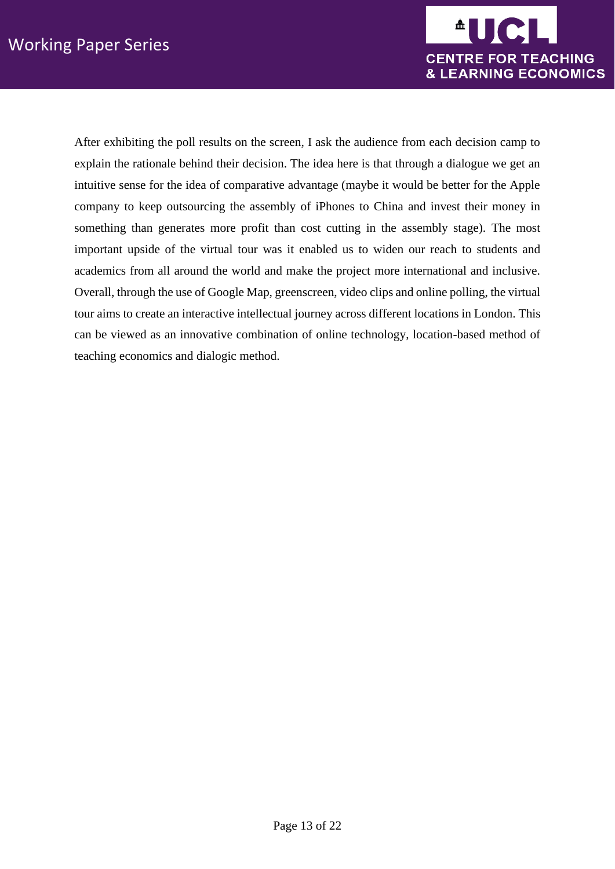

<span id="page-12-0"></span>After exhibiting the poll results on the screen, I ask the audience from each decision camp to explain the rationale behind their decision. The idea here is that through a dialogue we get an intuitive sense for the idea of comparative advantage (maybe it would be better for the Apple company to keep outsourcing the assembly of iPhones to China and invest their money in something than generates more profit than cost cutting in the assembly stage). The most important upside of the virtual tour was it enabled us to widen our reach to students and academics from all around the world and make the project more international and inclusive. Overall, through the use of Google Map, greenscreen, video clips and online polling, the virtual tour aims to create an interactive intellectual journey across different locations in London. This can be viewed as an innovative combination of online technology, location-based method of teaching economics and dialogic method.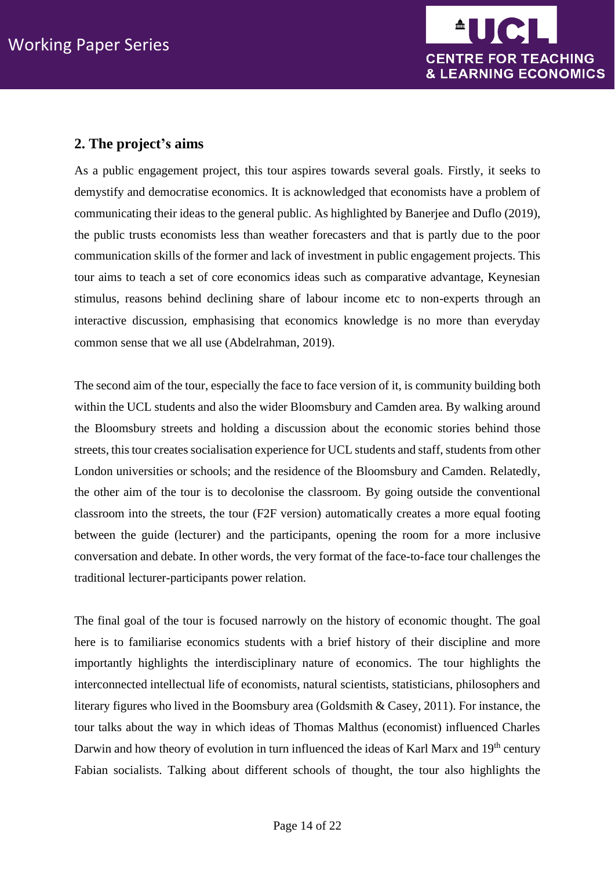

# **2. The project's aims**

As a public engagement project, this tour aspires towards several goals. Firstly, it seeks to demystify and democratise economics. It is acknowledged that economists have a problem of communicating their ideas to the general public. As highlighted by Banerjee and Duflo (2019), the public trusts economists less than weather forecasters and that is partly due to the poor communication skills of the former and lack of investment in public engagement projects. This tour aims to teach a set of core economics ideas such as comparative advantage, Keynesian stimulus, reasons behind declining share of labour income etc to non-experts through an interactive discussion, emphasising that economics knowledge is no more than everyday common sense that we all use (Abdelrahman, 2019).

The second aim of the tour, especially the face to face version of it, is community building both within the UCL students and also the wider Bloomsbury and Camden area. By walking around the Bloomsbury streets and holding a discussion about the economic stories behind those streets, this tour creates socialisation experience for UCL students and staff, students from other London universities or schools; and the residence of the Bloomsbury and Camden. Relatedly, the other aim of the tour is to decolonise the classroom. By going outside the conventional classroom into the streets, the tour (F2F version) automatically creates a more equal footing between the guide (lecturer) and the participants, opening the room for a more inclusive conversation and debate. In other words, the very format of the face-to-face tour challenges the traditional lecturer-participants power relation.

The final goal of the tour is focused narrowly on the history of economic thought. The goal here is to familiarise economics students with a brief history of their discipline and more importantly highlights the interdisciplinary nature of economics. The tour highlights the interconnected intellectual life of economists, natural scientists, statisticians, philosophers and literary figures who lived in the Boomsbury area (Goldsmith & Casey, 2011). For instance, the tour talks about the way in which ideas of Thomas Malthus (economist) influenced Charles Darwin and how theory of evolution in turn influenced the ideas of Karl Marx and 19<sup>th</sup> century Fabian socialists. Talking about different schools of thought, the tour also highlights the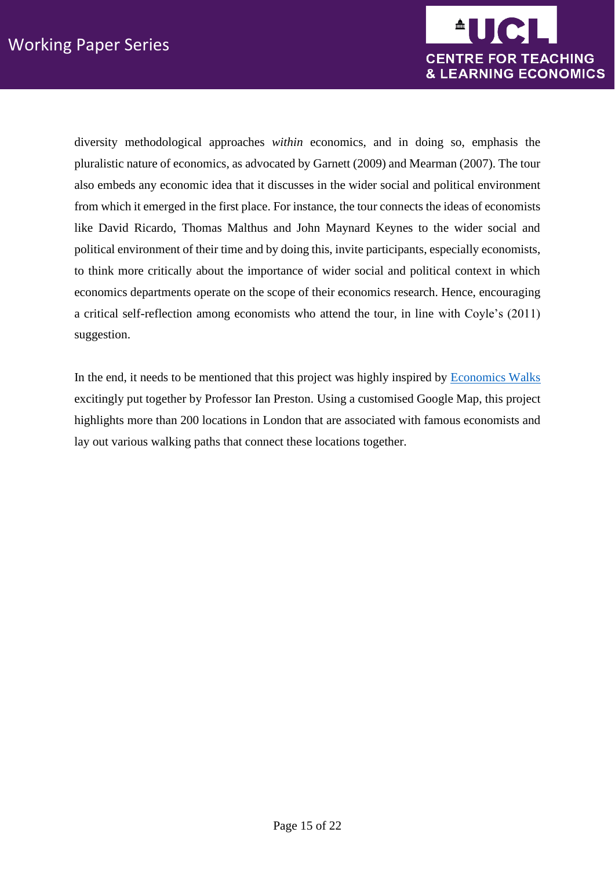

diversity methodological approaches *within* economics, and in doing so, emphasis the pluralistic nature of economics, as advocated by Garnett (2009) and Mearman (2007). The tour also embeds any economic idea that it discusses in the wider social and political environment from which it emerged in the first place. For instance, the tour connects the ideas of economists like David Ricardo, Thomas Malthus and John Maynard Keynes to the wider social and political environment of their time and by doing this, invite participants, especially economists, to think more critically about the importance of wider social and political context in which economics departments operate on the scope of their economics research. Hence, encouraging a critical self-reflection among economists who attend the tour, in line with Coyle's (2011) suggestion.

<span id="page-14-0"></span>In the end, it needs to be mentioned that this project was highly inspired by [Economics Walks](https://www.ucl.ac.uk/~uctp100/Walks/EconWalks.htm) excitingly put together by Professor Ian Preston. Using a customised Google Map, this project highlights more than 200 locations in London that are associated with famous economists and lay out various walking paths that connect these locations together.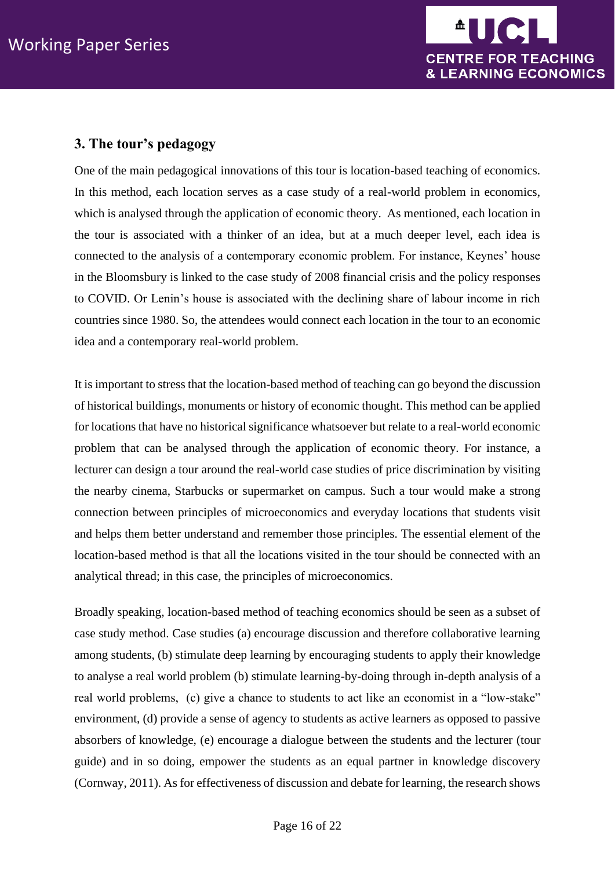

## **3. The tour's pedagogy**

One of the main pedagogical innovations of this tour is location-based teaching of economics. In this method, each location serves as a case study of a real-world problem in economics, which is analysed through the application of economic theory. As mentioned, each location in the tour is associated with a thinker of an idea, but at a much deeper level, each idea is connected to the analysis of a contemporary economic problem. For instance, Keynes' house in the Bloomsbury is linked to the case study of 2008 financial crisis and the policy responses to COVID. Or Lenin's house is associated with the declining share of labour income in rich countries since 1980. So, the attendees would connect each location in the tour to an economic idea and a contemporary real-world problem.

It is important to stress that the location-based method of teaching can go beyond the discussion of historical buildings, monuments or history of economic thought. This method can be applied for locations that have no historical significance whatsoever but relate to a real-world economic problem that can be analysed through the application of economic theory. For instance, a lecturer can design a tour around the real-world case studies of price discrimination by visiting the nearby cinema, Starbucks or supermarket on campus. Such a tour would make a strong connection between principles of microeconomics and everyday locations that students visit and helps them better understand and remember those principles. The essential element of the location-based method is that all the locations visited in the tour should be connected with an analytical thread; in this case, the principles of microeconomics.

Broadly speaking, location-based method of teaching economics should be seen as a subset of case study method. Case studies (a) encourage discussion and therefore collaborative learning among students, (b) stimulate deep learning by encouraging students to apply their knowledge to analyse a real world problem (b) stimulate learning-by-doing through in-depth analysis of a real world problems, (c) give a chance to students to act like an economist in a "low-stake" environment, (d) provide a sense of agency to students as active learners as opposed to passive absorbers of knowledge, (e) encourage a dialogue between the students and the lecturer (tour guide) and in so doing, empower the students as an equal partner in knowledge discovery (Cornway, 2011). As for effectiveness of discussion and debate for learning, the research shows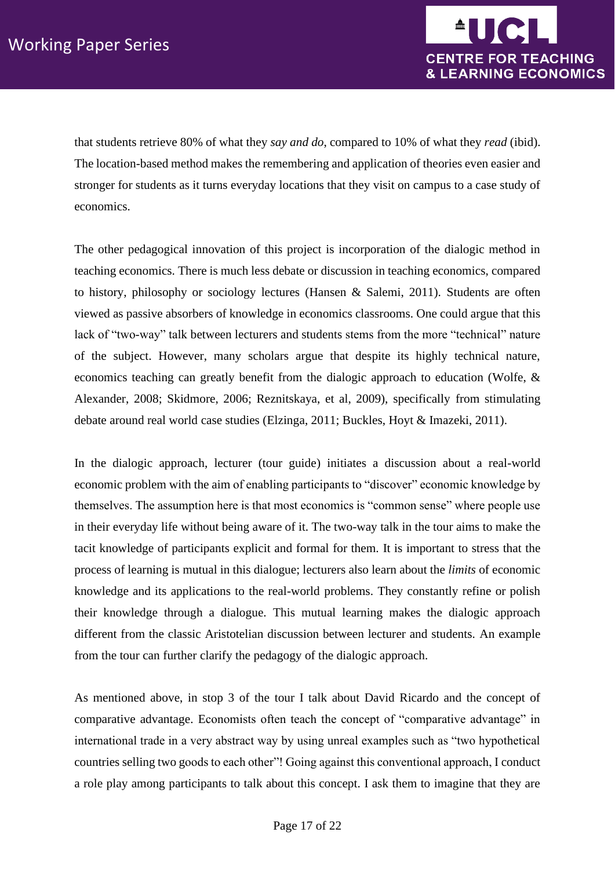

that students retrieve 80% of what they *say and do*, compared to 10% of what they *read* (ibid). The location-based method makes the remembering and application of theories even easier and stronger for students as it turns everyday locations that they visit on campus to a case study of economics.

The other pedagogical innovation of this project is incorporation of the dialogic method in teaching economics. There is much less debate or discussion in teaching economics, compared to history, philosophy or sociology lectures (Hansen & Salemi, 2011). Students are often viewed as passive absorbers of knowledge in economics classrooms. One could argue that this lack of "two-way" talk between lecturers and students stems from the more "technical" nature of the subject. However, many scholars argue that despite its highly technical nature, economics teaching can greatly benefit from the dialogic approach to education (Wolfe, & Alexander, 2008; Skidmore, 2006; Reznitskaya, et al, 2009), specifically from stimulating debate around real world case studies (Elzinga, 2011; Buckles, Hoyt & Imazeki, 2011).

In the dialogic approach, lecturer (tour guide) initiates a discussion about a real-world economic problem with the aim of enabling participants to "discover" economic knowledge by themselves. The assumption here is that most economics is "common sense" where people use in their everyday life without being aware of it. The two-way talk in the tour aims to make the tacit knowledge of participants explicit and formal for them. It is important to stress that the process of learning is mutual in this dialogue; lecturers also learn about the *limits* of economic knowledge and its applications to the real-world problems. They constantly refine or polish their knowledge through a dialogue. This mutual learning makes the dialogic approach different from the classic Aristotelian discussion between lecturer and students. An example from the tour can further clarify the pedagogy of the dialogic approach.

As mentioned above, in stop 3 of the tour I talk about David Ricardo and the concept of comparative advantage. Economists often teach the concept of "comparative advantage" in international trade in a very abstract way by using unreal examples such as "two hypothetical countries selling two goods to each other"! Going against this conventional approach, I conduct a role play among participants to talk about this concept. I ask them to imagine that they are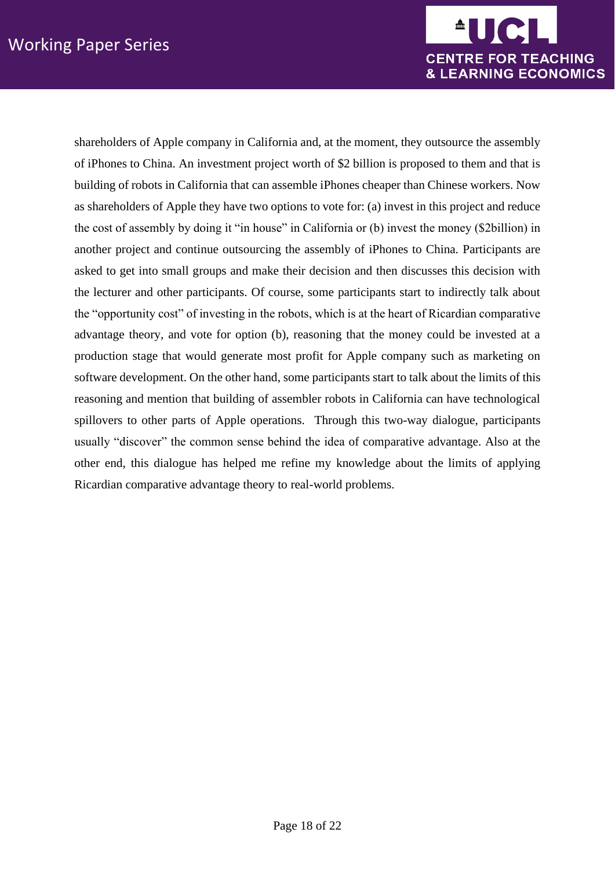

shareholders of Apple company in California and, at the moment, they outsource the assembly of iPhones to China. An investment project worth of \$2 billion is proposed to them and that is building of robots in California that can assemble iPhones cheaper than Chinese workers. Now as shareholders of Apple they have two options to vote for: (a) invest in this project and reduce the cost of assembly by doing it "in house" in California or (b) invest the money (\$2billion) in another project and continue outsourcing the assembly of iPhones to China. Participants are asked to get into small groups and make their decision and then discusses this decision with the lecturer and other participants. Of course, some participants start to indirectly talk about the "opportunity cost" of investing in the robots, which is at the heart of Ricardian comparative advantage theory, and vote for option (b), reasoning that the money could be invested at a production stage that would generate most profit for Apple company such as marketing on software development. On the other hand, some participants start to talk about the limits of this reasoning and mention that building of assembler robots in California can have technological spillovers to other parts of Apple operations. Through this two-way dialogue, participants usually "discover" the common sense behind the idea of comparative advantage. Also at the other end, this dialogue has helped me refine my knowledge about the limits of applying Ricardian comparative advantage theory to real-world problems.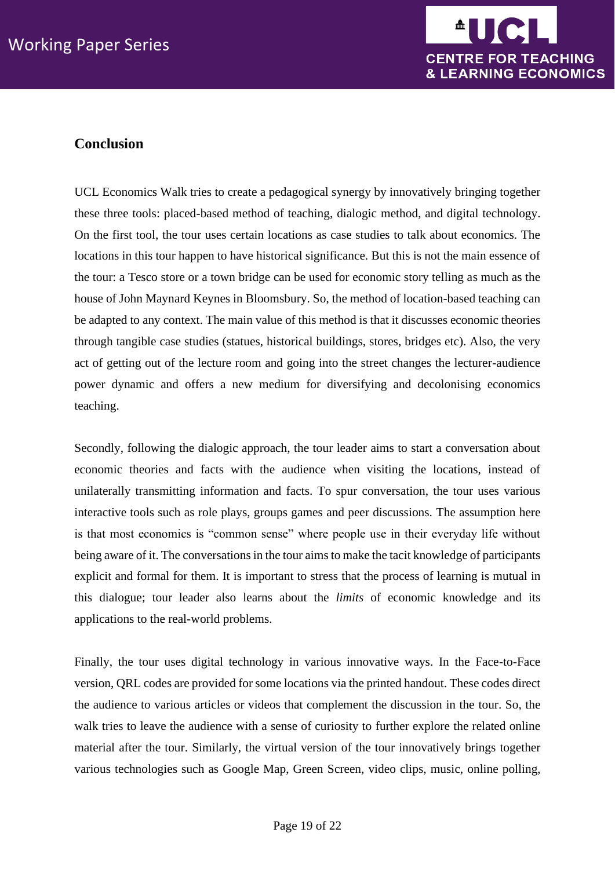

# <span id="page-18-0"></span>**Conclusion**

UCL Economics Walk tries to create a pedagogical synergy by innovatively bringing together these three tools: placed-based method of teaching, dialogic method, and digital technology. On the first tool, the tour uses certain locations as case studies to talk about economics. The locations in this tour happen to have historical significance. But this is not the main essence of the tour: a Tesco store or a town bridge can be used for economic story telling as much as the house of John Maynard Keynes in Bloomsbury. So, the method of location-based teaching can be adapted to any context. The main value of this method is that it discusses economic theories through tangible case studies (statues, historical buildings, stores, bridges etc). Also, the very act of getting out of the lecture room and going into the street changes the lecturer-audience power dynamic and offers a new medium for diversifying and decolonising economics teaching.

Secondly, following the dialogic approach, the tour leader aims to start a conversation about economic theories and facts with the audience when visiting the locations, instead of unilaterally transmitting information and facts. To spur conversation, the tour uses various interactive tools such as role plays, groups games and peer discussions. The assumption here is that most economics is "common sense" where people use in their everyday life without being aware of it. The conversations in the tour aims to make the tacit knowledge of participants explicit and formal for them. It is important to stress that the process of learning is mutual in this dialogue; tour leader also learns about the *limits* of economic knowledge and its applications to the real-world problems.

Finally, the tour uses digital technology in various innovative ways. In the Face-to-Face version, QRL codes are provided for some locations via the printed handout. These codes direct the audience to various articles or videos that complement the discussion in the tour. So, the walk tries to leave the audience with a sense of curiosity to further explore the related online material after the tour. Similarly, the virtual version of the tour innovatively brings together various technologies such as Google Map, Green Screen, video clips, music, online polling,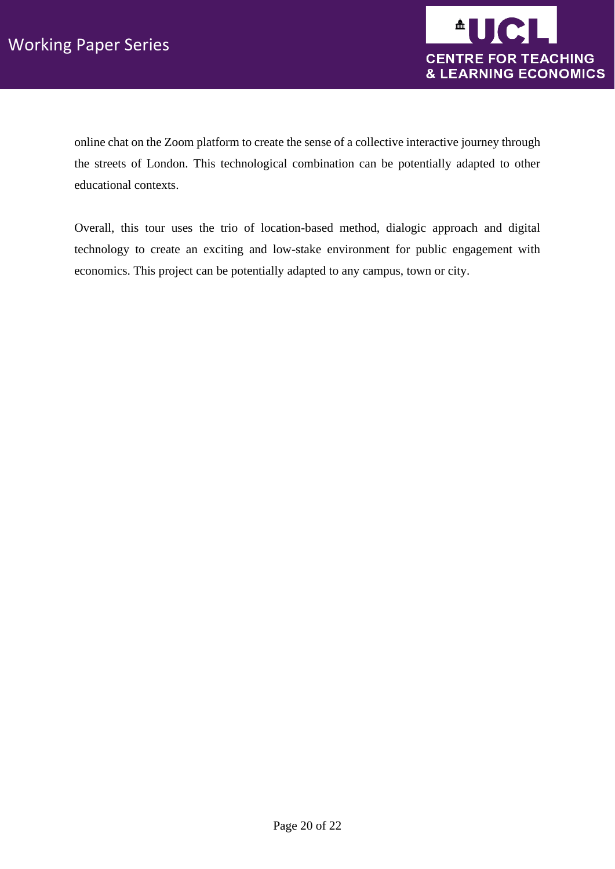

online chat on the Zoom platform to create the sense of a collective interactive journey through the streets of London. This technological combination can be potentially adapted to other educational contexts.

Overall, this tour uses the trio of location-based method, dialogic approach and digital technology to create an exciting and low-stake environment for public engagement with economics. This project can be potentially adapted to any campus, town or city.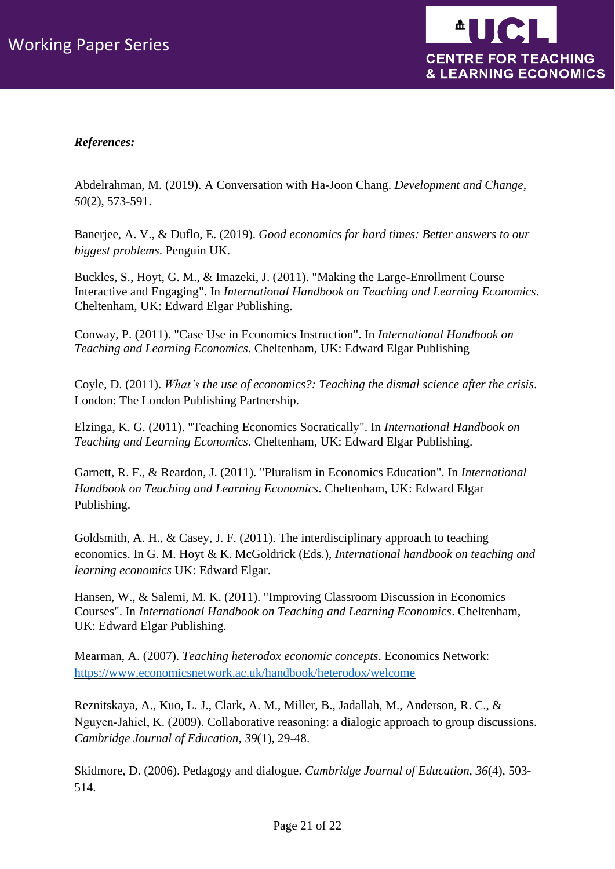

## *References:*

Abdelrahman, M. (2019). A Conversation with Ha-Joon Chang. *Development and Change, 50*(2), 573-591.

Banerjee, A. V., & Duflo, E. (2019). *Good economics for hard times: Better answers to our biggest problems*. Penguin UK.

Buckles, S., Hoyt, G. M., & Imazeki, J. (2011). "Making the Large-Enrollment Course Interactive and Engaging". In *International Handbook on Teaching and Learning Economics*. Cheltenham, UK: Edward Elgar Publishing.

Conway, P. (2011). "Case Use in Economics Instruction". In *International Handbook on Teaching and Learning Economics*. Cheltenham, UK: Edward Elgar Publishing

Coyle, D. (2011). *What's the use of economics?: Teaching the dismal science after the crisis*. London: The London Publishing Partnership.

Elzinga, K. G. (2011). "Teaching Economics Socratically". In *International Handbook on Teaching and Learning Economics*. Cheltenham, UK: Edward Elgar Publishing.

Garnett, R. F., & Reardon, J. (2011). "Pluralism in Economics Education". In *International Handbook on Teaching and Learning Economics*. Cheltenham, UK: Edward Elgar Publishing.

Goldsmith, A. H., & Casey, J. F. (2011). The interdisciplinary approach to teaching economics. In G. M. Hoyt & K. McGoldrick (Eds.), *International handbook on teaching and learning economics* UK: Edward Elgar.

Hansen, W., & Salemi, M. K. (2011). "Improving Classroom Discussion in Economics Courses". In *International Handbook on Teaching and Learning Economics*. Cheltenham, UK: Edward Elgar Publishing.

Mearman, A. (2007). *Teaching heterodox economic concepts*. Economics Network: <https://www.economicsnetwork.ac.uk/handbook/heterodox/welcome>

Reznitskaya, A., Kuo, L. J., Clark, A. M., Miller, B., Jadallah, M., Anderson, R. C., & Nguyen‐Jahiel, K. (2009). Collaborative reasoning: a dialogic approach to group discussions. *Cambridge Journal of Education, 39*(1), 29-48.

Skidmore, D. (2006). Pedagogy and dialogue. *Cambridge Journal of Education, 36*(4), 503- 514.